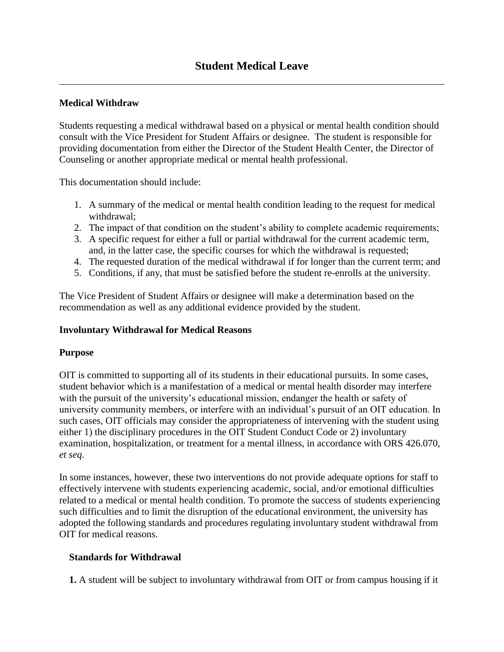## **Medical Withdraw**

Students requesting a medical withdrawal based on a physical or mental health condition should consult with the Vice President for Student Affairs or designee. The student is responsible for providing documentation from either the Director of the Student Health Center, the Director of Counseling or another appropriate medical or mental health professional.

This documentation should include:

- 1. A summary of the medical or mental health condition leading to the request for medical withdrawal;
- 2. The impact of that condition on the student's ability to complete academic requirements;
- 3. A specific request for either a full or partial withdrawal for the current academic term, and, in the latter case, the specific courses for which the withdrawal is requested;
- 4. The requested duration of the medical withdrawal if for longer than the current term; and
- 5. Conditions, if any, that must be satisfied before the student re-enrolls at the university.

The Vice President of Student Affairs or designee will make a determination based on the recommendation as well as any additional evidence provided by the student.

### **Involuntary Withdrawal for Medical Reasons**

#### **Purpose**

OIT is committed to supporting all of its students in their educational pursuits. In some cases, student behavior which is a manifestation of a medical or mental health disorder may interfere with the pursuit of the university's educational mission, endanger the health or safety of university community members, or interfere with an individual's pursuit of an OIT education. In such cases, OIT officials may consider the appropriateness of intervening with the student using either 1) the disciplinary procedures in the OIT Student Conduct Code or 2) involuntary examination, hospitalization, or treatment for a mental illness, in accordance with ORS 426.070, *et seq*.

In some instances, however, these two interventions do not provide adequate options for staff to effectively intervene with students experiencing academic, social, and/or emotional difficulties related to a medical or mental health condition. To promote the success of students experiencing such difficulties and to limit the disruption of the educational environment, the university has adopted the following standards and procedures regulating involuntary student withdrawal from OIT for medical reasons.

#### **Standards for Withdrawal**

**1.** A student will be subject to involuntary withdrawal from OIT or from campus housing if it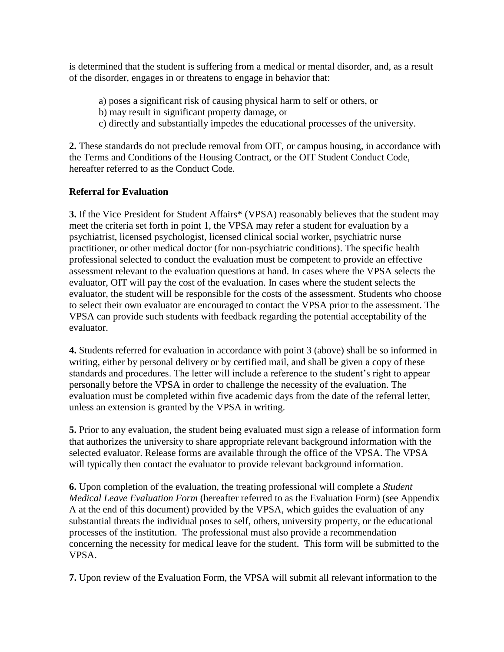is determined that the student is suffering from a medical or mental disorder, and, as a result of the disorder, engages in or threatens to engage in behavior that:

- a) poses a significant risk of causing physical harm to self or others, or
- b) may result in significant property damage, or
- c) directly and substantially impedes the educational processes of the university.

**2.** These standards do not preclude removal from OIT, or campus housing, in accordance with the Terms and Conditions of the Housing Contract, or the OIT Student Conduct Code, hereafter referred to as the Conduct Code.

## **Referral for Evaluation**

**3.** If the Vice President for Student Affairs\* (VPSA) reasonably believes that the student may meet the criteria set forth in point 1, the VPSA may refer a student for evaluation by a psychiatrist, licensed psychologist, licensed clinical social worker, psychiatric nurse practitioner, or other medical doctor (for non-psychiatric conditions). The specific health professional selected to conduct the evaluation must be competent to provide an effective assessment relevant to the evaluation questions at hand. In cases where the VPSA selects the evaluator, OIT will pay the cost of the evaluation. In cases where the student selects the evaluator, the student will be responsible for the costs of the assessment. Students who choose to select their own evaluator are encouraged to contact the VPSA prior to the assessment. The VPSA can provide such students with feedback regarding the potential acceptability of the evaluator.

**4.** Students referred for evaluation in accordance with point 3 (above) shall be so informed in writing, either by personal delivery or by certified mail, and shall be given a copy of these standards and procedures. The letter will include a reference to the student's right to appear personally before the VPSA in order to challenge the necessity of the evaluation. The evaluation must be completed within five academic days from the date of the referral letter, unless an extension is granted by the VPSA in writing.

**5.** Prior to any evaluation, the student being evaluated must sign a release of information form that authorizes the university to share appropriate relevant background information with the selected evaluator. Release forms are available through the office of the VPSA. The VPSA will typically then contact the evaluator to provide relevant background information.

**6.** Upon completion of the evaluation, the treating professional will complete a *Student Medical Leave Evaluation Form* (hereafter referred to as the Evaluation Form) (see Appendix A at the end of this document) provided by the VPSA, which guides the evaluation of any substantial threats the individual poses to self, others, university property, or the educational processes of the institution. The professional must also provide a recommendation concerning the necessity for medical leave for the student. This form will be submitted to the VPSA.

**7.** Upon review of the Evaluation Form, the VPSA will submit all relevant information to the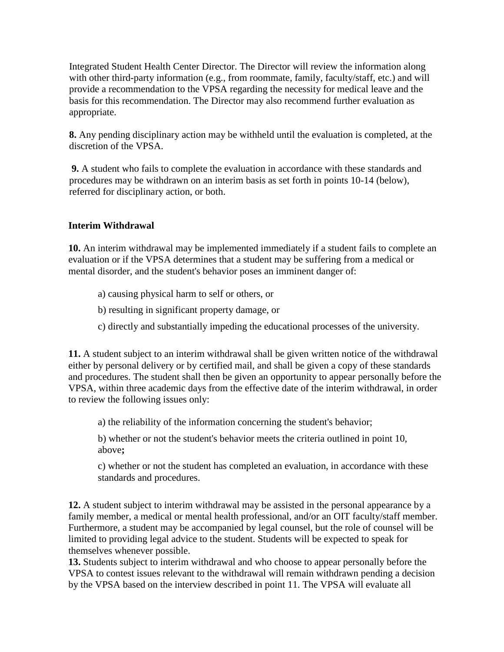Integrated Student Health Center Director. The Director will review the information along with other third-party information (e.g., from roommate, family, faculty/staff, etc.) and will provide a recommendation to the VPSA regarding the necessity for medical leave and the basis for this recommendation. The Director may also recommend further evaluation as appropriate.

**8.** Any pending disciplinary action may be withheld until the evaluation is completed, at the discretion of the VPSA.

**9.** A student who fails to complete the evaluation in accordance with these standards and procedures may be withdrawn on an interim basis as set forth in points 10-14 (below), referred for disciplinary action, or both.

## **Interim Withdrawal**

**10.** An interim withdrawal may be implemented immediately if a student fails to complete an evaluation or if the VPSA determines that a student may be suffering from a medical or mental disorder, and the student's behavior poses an imminent danger of:

- a) causing physical harm to self or others, or
- b) resulting in significant property damage, or
- c) directly and substantially impeding the educational processes of the university.

**11.** A student subject to an interim withdrawal shall be given written notice of the withdrawal either by personal delivery or by certified mail, and shall be given a copy of these standards and procedures. The student shall then be given an opportunity to appear personally before the VPSA, within three academic days from the effective date of the interim withdrawal, in order to review the following issues only:

a) the reliability of the information concerning the student's behavior;

b) whether or not the student's behavior meets the criteria outlined in point 10, above**;** 

c) whether or not the student has completed an evaluation, in accordance with these standards and procedures.

**12.** A student subject to interim withdrawal may be assisted in the personal appearance by a family member, a medical or mental health professional, and/or an OIT faculty/staff member. Furthermore, a student may be accompanied by legal counsel, but the role of counsel will be limited to providing legal advice to the student. Students will be expected to speak for themselves whenever possible.

**13.** Students subject to interim withdrawal and who choose to appear personally before the VPSA to contest issues relevant to the withdrawal will remain withdrawn pending a decision by the VPSA based on the interview described in point 11. The VPSA will evaluate all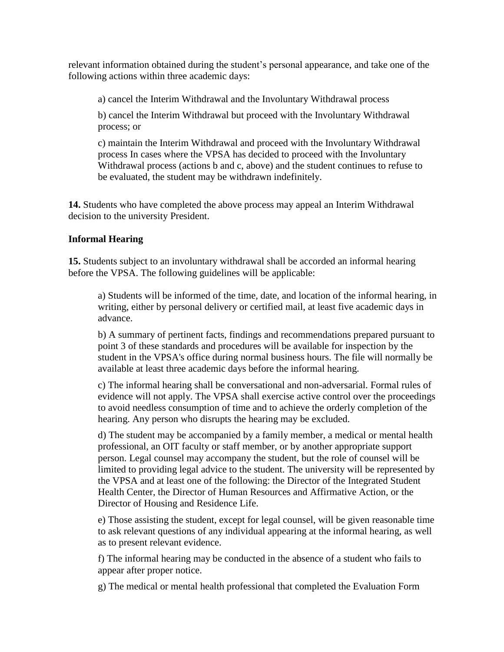relevant information obtained during the student's personal appearance, and take one of the following actions within three academic days:

a) cancel the Interim Withdrawal and the Involuntary Withdrawal process

b) cancel the Interim Withdrawal but proceed with the Involuntary Withdrawal process; or

c) maintain the Interim Withdrawal and proceed with the Involuntary Withdrawal process In cases where the VPSA has decided to proceed with the Involuntary Withdrawal process (actions b and c, above) and the student continues to refuse to be evaluated, the student may be withdrawn indefinitely.

**14.** Students who have completed the above process may appeal an Interim Withdrawal decision to the university President.

# **Informal Hearing**

**15.** Students subject to an involuntary withdrawal shall be accorded an informal hearing before the VPSA. The following guidelines will be applicable:

a) Students will be informed of the time, date, and location of the informal hearing, in writing, either by personal delivery or certified mail, at least five academic days in advance.

b) A summary of pertinent facts, findings and recommendations prepared pursuant to point 3 of these standards and procedures will be available for inspection by the student in the VPSA's office during normal business hours. The file will normally be available at least three academic days before the informal hearing.

c) The informal hearing shall be conversational and non-adversarial. Formal rules of evidence will not apply. The VPSA shall exercise active control over the proceedings to avoid needless consumption of time and to achieve the orderly completion of the hearing. Any person who disrupts the hearing may be excluded.

d) The student may be accompanied by a family member, a medical or mental health professional, an OIT faculty or staff member, or by another appropriate support person. Legal counsel may accompany the student, but the role of counsel will be limited to providing legal advice to the student. The university will be represented by the VPSA and at least one of the following: the Director of the Integrated Student Health Center, the Director of Human Resources and Affirmative Action, or the Director of Housing and Residence Life.

e) Those assisting the student, except for legal counsel, will be given reasonable time to ask relevant questions of any individual appearing at the informal hearing, as well as to present relevant evidence.

f) The informal hearing may be conducted in the absence of a student who fails to appear after proper notice.

g) The medical or mental health professional that completed the Evaluation Form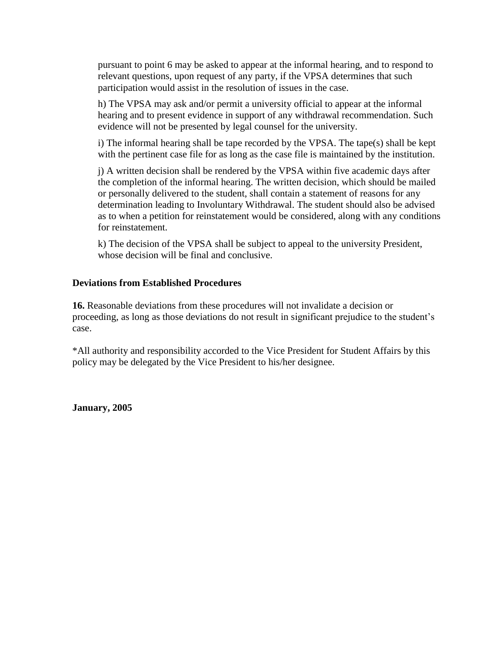pursuant to point 6 may be asked to appear at the informal hearing, and to respond to relevant questions, upon request of any party, if the VPSA determines that such participation would assist in the resolution of issues in the case.

h) The VPSA may ask and/or permit a university official to appear at the informal hearing and to present evidence in support of any withdrawal recommendation. Such evidence will not be presented by legal counsel for the university.

i) The informal hearing shall be tape recorded by the VPSA. The tape(s) shall be kept with the pertinent case file for as long as the case file is maintained by the institution.

j) A written decision shall be rendered by the VPSA within five academic days after the completion of the informal hearing. The written decision, which should be mailed or personally delivered to the student, shall contain a statement of reasons for any determination leading to Involuntary Withdrawal. The student should also be advised as to when a petition for reinstatement would be considered, along with any conditions for reinstatement.

k) The decision of the VPSA shall be subject to appeal to the university President, whose decision will be final and conclusive.

#### **Deviations from Established Procedures**

**16.** Reasonable deviations from these procedures will not invalidate a decision or proceeding, as long as those deviations do not result in significant prejudice to the student's case.

\*All authority and responsibility accorded to the Vice President for Student Affairs by this policy may be delegated by the Vice President to his/her designee.

**January, 2005**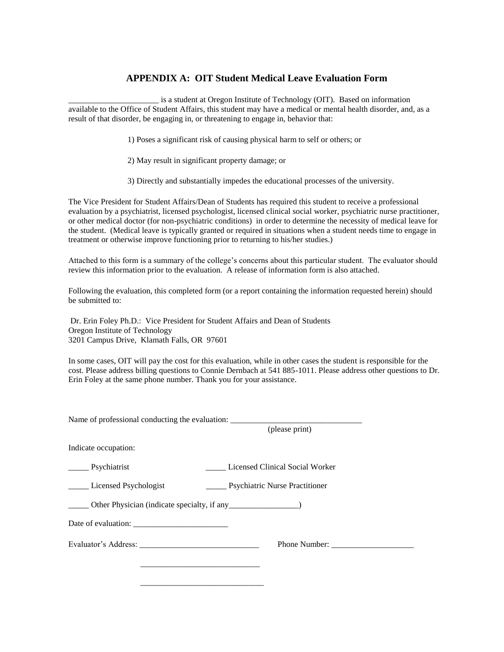## **APPENDIX A: OIT Student Medical Leave Evaluation Form**

is a student at Oregon Institute of Technology (OIT). Based on information available to the Office of Student Affairs, this student may have a medical or mental health disorder, and, as a result of that disorder, be engaging in, or threatening to engage in, behavior that:

1) Poses a significant risk of causing physical harm to self or others; or

- 2) May result in significant property damage; or
- 3) Directly and substantially impedes the educational processes of the university.

The Vice President for Student Affairs/Dean of Students has required this student to receive a professional evaluation by a psychiatrist, licensed psychologist, licensed clinical social worker, psychiatric nurse practitioner, or other medical doctor (for non-psychiatric conditions) in order to determine the necessity of medical leave for the student. (Medical leave is typically granted or required in situations when a student needs time to engage in treatment or otherwise improve functioning prior to returning to his/her studies.)

Attached to this form is a summary of the college's concerns about this particular student. The evaluator should review this information prior to the evaluation. A release of information form is also attached.

Following the evaluation, this completed form (or a report containing the information requested herein) should be submitted to:

Dr. Erin Foley Ph.D.: Vice President for Student Affairs and Dean of Students Oregon Institute of Technology 3201 Campus Drive, Klamath Falls, OR 97601

In some cases, OIT will pay the cost for this evaluation, while in other cases the student is responsible for the cost. Please address billing questions to Connie Dernbach at 541 885-1011. Please address other questions to Dr. Erin Foley at the same phone number. Thank you for your assistance.

| Name of professional conducting the evaluation:                         |                                                    |
|-------------------------------------------------------------------------|----------------------------------------------------|
|                                                                         | (please print)                                     |
| Indicate occupation:                                                    |                                                    |
| _______ Psychiatrist                                                    | Licensed Clinical Social Worker                    |
| _____ Licensed Psychologist                                             | <b>Exercíficate</b> Psychiatric Nurse Practitioner |
| ______ Other Physician (indicate specialty, if any ___________________) |                                                    |
| Date of evaluation:                                                     |                                                    |
|                                                                         |                                                    |
|                                                                         |                                                    |
|                                                                         |                                                    |
|                                                                         |                                                    |